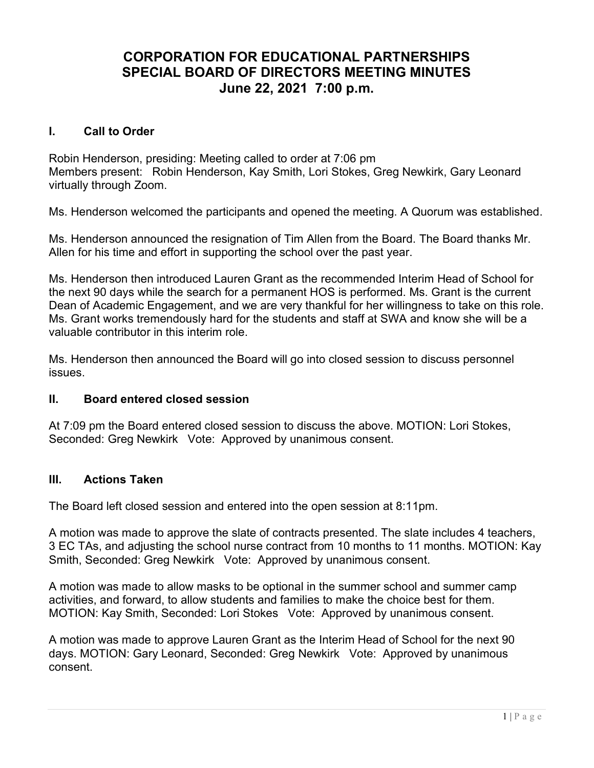## CORPORATION FOR EDUCATIONAL PARTNERSHIPS SPECIAL BOARD OF DIRECTORS MEETING MINUTES June 22, 2021 7:00 p.m.

### I. Call to Order

Robin Henderson, presiding: Meeting called to order at 7:06 pm Members present: Robin Henderson, Kay Smith, Lori Stokes, Greg Newkirk, Gary Leonard virtually through Zoom.

Ms. Henderson welcomed the participants and opened the meeting. A Quorum was established.

Ms. Henderson announced the resignation of Tim Allen from the Board. The Board thanks Mr. Allen for his time and effort in supporting the school over the past year.

Ms. Henderson then introduced Lauren Grant as the recommended Interim Head of School for the next 90 days while the search for a permanent HOS is performed. Ms. Grant is the current Dean of Academic Engagement, and we are very thankful for her willingness to take on this role. Ms. Grant works tremendously hard for the students and staff at SWA and know she will be a valuable contributor in this interim role.

Ms. Henderson then announced the Board will go into closed session to discuss personnel issues.

#### II. Board entered closed session

At 7:09 pm the Board entered closed session to discuss the above. MOTION: Lori Stokes, Seconded: Greg Newkirk Vote: Approved by unanimous consent.

#### III. Actions Taken

The Board left closed session and entered into the open session at 8:11pm.

A motion was made to approve the slate of contracts presented. The slate includes 4 teachers, 3 EC TAs, and adjusting the school nurse contract from 10 months to 11 months. MOTION: Kay Smith, Seconded: Greg Newkirk Vote: Approved by unanimous consent.

A motion was made to allow masks to be optional in the summer school and summer camp activities, and forward, to allow students and families to make the choice best for them. MOTION: Kay Smith, Seconded: Lori Stokes Vote: Approved by unanimous consent.

A motion was made to approve Lauren Grant as the Interim Head of School for the next 90 days. MOTION: Gary Leonard, Seconded: Greg Newkirk Vote: Approved by unanimous consent.